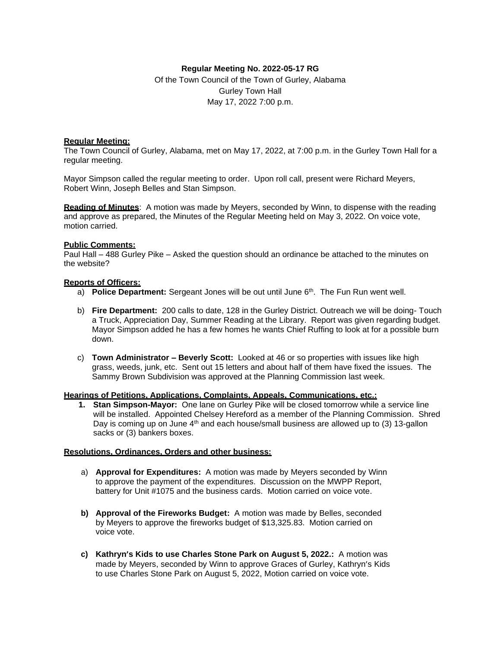## **Regular Meeting No. 2022-05-17 RG**

Of the Town Council of the Town of Gurley, Alabama Gurley Town Hall May 17, 2022 7:00 p.m.

### **Regular Meeting:**

The Town Council of Gurley, Alabama, met on May 17, 2022, at 7:00 p.m. in the Gurley Town Hall for a regular meeting.

Mayor Simpson called the regular meeting to order. Upon roll call, present were Richard Meyers, Robert Winn, Joseph Belles and Stan Simpson.

**Reading of Minutes**: A motion was made by Meyers, seconded by Winn, to dispense with the reading and approve as prepared, the Minutes of the Regular Meeting held on May 3, 2022. On voice vote, motion carried.

## **Public Comments:**

Paul Hall – 488 Gurley Pike – Asked the question should an ordinance be attached to the minutes on the website?

#### **Reports of Officers:**

- a) **Police Department:** Sergeant Jones will be out until June 6<sup>th</sup>. The Fun Run went well.
- b) **Fire Department:** 200 calls to date, 128 in the Gurley District. Outreach we will be doing- Touch a Truck, Appreciation Day, Summer Reading at the Library. Report was given regarding budget. Mayor Simpson added he has a few homes he wants Chief Ruffing to look at for a possible burn down.
- c) **Town Administrator – Beverly Scott:** Looked at 46 or so properties with issues like high grass, weeds, junk, etc. Sent out 15 letters and about half of them have fixed the issues. The Sammy Brown Subdivision was approved at the Planning Commission last week.

#### **Hearings of Petitions, Applications, Complaints, Appeals, Communications, etc.:**

**1. Stan Simpson-Mayor:** One lane on Gurley Pike will be closed tomorrow while a service line will be installed. Appointed Chelsey Hereford as a member of the Planning Commission. Shred Day is coming up on June  $4<sup>th</sup>$  and each house/small business are allowed up to (3) 13-gallon sacks or (3) bankers boxes.

#### **Resolutions, Ordinances, Orders and other business:**

- a) **Approval for Expenditures:** A motion was made by Meyers seconded by Winn to approve the payment of the expenditures. Discussion on the MWPP Report, battery for Unit #1075 and the business cards. Motion carried on voice vote.
- **b) Approval of the Fireworks Budget:** A motion was made by Belles, seconded by Meyers to approve the fireworks budget of \$13,325.83. Motion carried on voice vote.
- **c) Kathryn's Kids to use Charles Stone Park on August 5, 2022.:** A motion was made by Meyers, seconded by Winn to approve Graces of Gurley, Kathryn's Kids to use Charles Stone Park on August 5, 2022, Motion carried on voice vote.